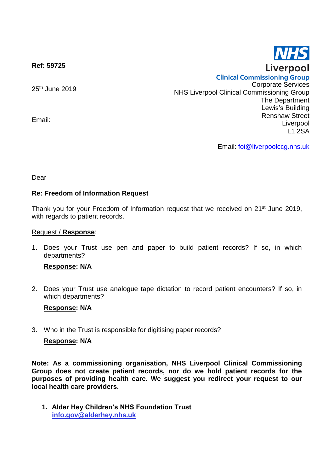

**Ref: 59725**

25th June 2019

Email:

**Clinical Commissioning Group** Corporate Services NHS Liverpool Clinical Commissioning Group The Department Lewis's Building Renshaw Street Liverpool L1 2SA

Email: [foi@liverpoolccg.nhs.uk](mailto:foi@liverpoolccg.nhs.uk)

Dear

# **Re: Freedom of Information Request**

Thank you for your Freedom of Information request that we received on 21<sup>st</sup> June 2019, with regards to patient records.

### Request / **Response**:

1. Does your Trust use pen and paper to build patient records? If so, in which departments?

## **Response: N/A**

2. Does your Trust use analogue tape dictation to record patient encounters? If so, in which departments?

## **Response: N/A**

3. Who in the Trust is responsible for digitising paper records?

## **Response: N/A**

**Note: As a commissioning organisation, NHS Liverpool Clinical Commissioning Group does not create patient records, nor do we hold patient records for the purposes of providing health care. We suggest you redirect your request to our local health care providers.**

**1. Alder Hey Children's NHS Foundation Trust info.gov@alderhey.nhs.uk**